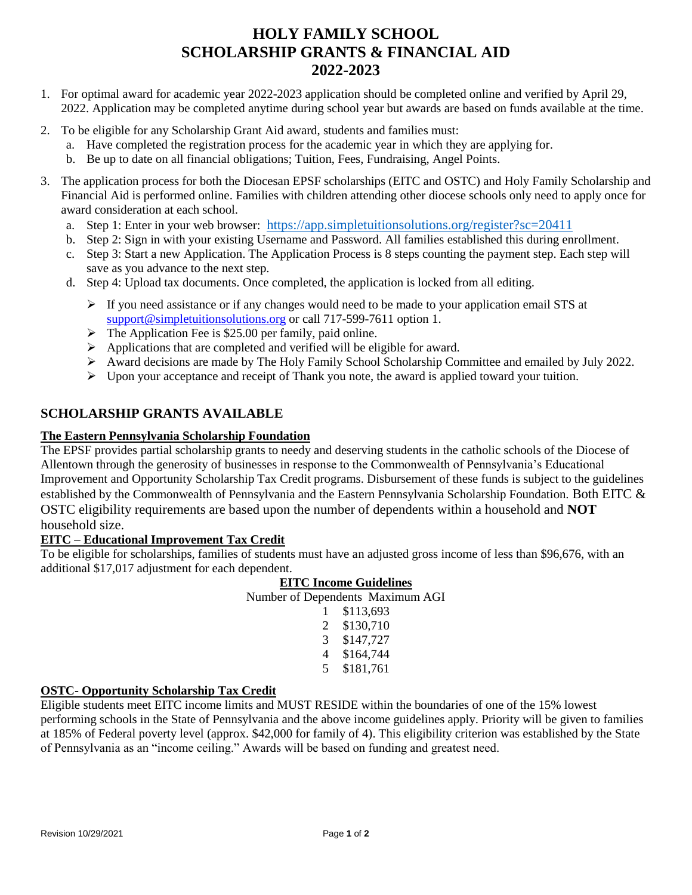## **HOLY FAMILY SCHOOL SCHOLARSHIP GRANTS & FINANCIAL AID 2022-2023**

- 1. For optimal award for academic year 2022-2023 application should be completed online and verified by April 29, 2022. Application may be completed anytime during school year but awards are based on funds available at the time.
- 2. To be eligible for any Scholarship Grant Aid award, students and families must:
	- a. Have completed the registration process for the academic year in which they are applying for.
	- b. Be up to date on all financial obligations; Tuition, Fees, Fundraising, Angel Points.
- 3. The application process for both the Diocesan EPSF scholarships (EITC and OSTC) and Holy Family Scholarship and Financial Aid is performed online. Families with children attending other diocese schools only need to apply once for award consideration at each school.
	- a. Step 1: Enter in your web browser: <https://app.simpletuitionsolutions.org/register?sc=20411>
	- b. Step 2: Sign in with your existing Username and Password. All families established this during enrollment.
	- c. Step 3: Start a new Application. The Application Process is 8 steps counting the payment step. Each step will save as you advance to the next step.
	- d. Step 4: Upload tax documents. Once completed, the application is locked from all editing.
		- ➢ If you need assistance or if any changes would need to be made to your application email STS at [support@simpletuitionsolutions.org](mailto:support@simpletuitionsolutions.org) or call 717-599-7611 option 1.
		- $\triangleright$  The Application Fee is \$25.00 per family, paid online.
		- ➢ Applications that are completed and verified will be eligible for award.
		- ➢ Award decisions are made by The Holy Family School Scholarship Committee and emailed by July 2022.
		- $\triangleright$  Upon your acceptance and receipt of Thank you note, the award is applied toward your tuition.

### **SCHOLARSHIP GRANTS AVAILABLE**

#### **The Eastern Pennsylvania Scholarship Foundation**

The EPSF provides partial scholarship grants to needy and deserving students in the catholic schools of the Diocese of Allentown through the generosity of businesses in response to the Commonwealth of Pennsylvania's Educational Improvement and Opportunity Scholarship Tax Credit programs. Disbursement of these funds is subject to the guidelines established by the Commonwealth of Pennsylvania and the Eastern Pennsylvania Scholarship Foundation. Both EITC & OSTC eligibility requirements are based upon the number of dependents within a household and **NOT**  household size.

#### **EITC – Educational Improvement Tax Credit**

To be eligible for scholarships, families of students must have an adjusted gross income of less than \$96,676, with an additional \$17,017 adjustment for each dependent.

#### **EITC Income Guidelines**

Number of Dependents Maximum AGI

| 1 | \$113,693 |
|---|-----------|
| 2 | \$130,710 |
| 3 | \$147,727 |
| 4 | \$164,744 |
| 5 | \$181,761 |

#### **OSTC- Opportunity Scholarship Tax Credit**

Eligible students meet EITC income limits and MUST RESIDE within the boundaries of one of the 15% lowest performing schools in the State of Pennsylvania and the above income guidelines apply. Priority will be given to families at 185% of Federal poverty level (approx. \$42,000 for family of 4). This eligibility criterion was established by the State of Pennsylvania as an "income ceiling." Awards will be based on funding and greatest need.